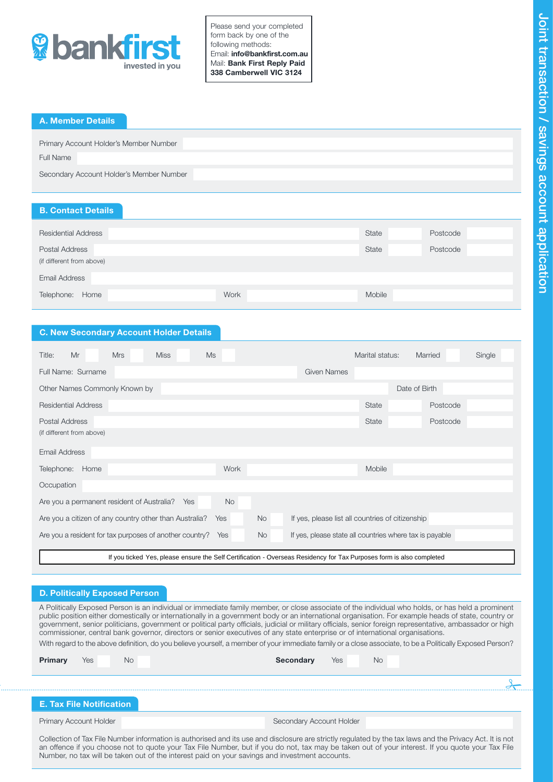

Please send your completed form back by one of the following methods: Email: info@bankfirst.com.au Mail: Bank First Reply Paid 338 Camberwell VIC 3124

# A. Member Details

| Primary Account Holder's Member Number   |  |
|------------------------------------------|--|
| Full Name                                |  |
| Secondary Account Holder's Member Number |  |

## B. Contact Details

| <b>State</b><br><b>Residential Address</b> | Postcode |
|--------------------------------------------|----------|
| <b>State</b><br><b>Postal Address</b>      | Postcode |
| (if different from above)                  |          |
| Email Address                              |          |
|                                            |          |
| Work<br>Home<br>Mobile<br>Telephone:       |          |

# C. New Secondary Account Holder Details

| Title:<br>Mr                                                                                                         | <b>Mrs</b> | <b>Miss</b> | <b>Ms</b> |           |                                                         | Marital status: |               | Married  | Single |
|----------------------------------------------------------------------------------------------------------------------|------------|-------------|-----------|-----------|---------------------------------------------------------|-----------------|---------------|----------|--------|
| Full Name: Surname                                                                                                   |            |             |           |           | <b>Given Names</b>                                      |                 |               |          |        |
| Other Names Commonly Known by                                                                                        |            |             |           |           |                                                         |                 | Date of Birth |          |        |
| <b>Residential Address</b>                                                                                           |            |             |           |           |                                                         | <b>State</b>    |               | Postcode |        |
| Postal Address                                                                                                       |            |             |           |           |                                                         | <b>State</b>    |               | Postcode |        |
| (if different from above)                                                                                            |            |             |           |           |                                                         |                 |               |          |        |
| Email Address                                                                                                        |            |             |           |           |                                                         |                 |               |          |        |
| Telephone:<br>Home                                                                                                   |            |             | Work      |           |                                                         | <b>Mobile</b>   |               |          |        |
| Occupation                                                                                                           |            |             |           |           |                                                         |                 |               |          |        |
| Are you a permanent resident of Australia?                                                                           |            | Yes         | <b>No</b> |           |                                                         |                 |               |          |        |
| Are you a citizen of any country other than Australia?                                                               |            |             | Yes       | <b>No</b> | If yes, please list all countries of citizenship        |                 |               |          |        |
| Are you a resident for tax purposes of another country?                                                              |            |             | Yes       | <b>No</b> | If yes, please state all countries where tax is payable |                 |               |          |        |
| If you ticked Yes, please ensure the Self Certification - Overseas Residency for Tax Purposes form is also completed |            |             |           |           |                                                         |                 |               |          |        |

## D. Politically Exposed Person

A Politically Exposed Person is an individual or immediate family member, or close associate of the individual who holds, or has held a prominent public position either domestically or internationally in a government body or an international organisation. For example heads of state, country or government, senior politicians, government or political party officials, judicial or military officials, senior foreign representative, ambassador or high commissioner, central bank governor, directors or senior executives of any state enterprise or of international organisations. With regard to the above definition, do you believe yourself, a member of your immediate family or a close associate, to be a Politically Exposed Person?

| Primary | Yes | No. | Yes<br><b>No</b><br><b>Secondary</b> |  |
|---------|-----|-----|--------------------------------------|--|
|         |     |     |                                      |  |

# E. Tax File Notification

Primary Account Holder **Secondary Account Holder** Secondary Account Holder

Collection of Tax File Number information is authorised and its use and disclosure are strictly regulated by the tax laws and the Privacy Act. It is not an offence if you choose not to quote your Tax File Number, but if you do not, tax may be taken out of your interest. If you quote your Tax File Number, no tax will be taken out of the interest paid on your savings and investment accounts.